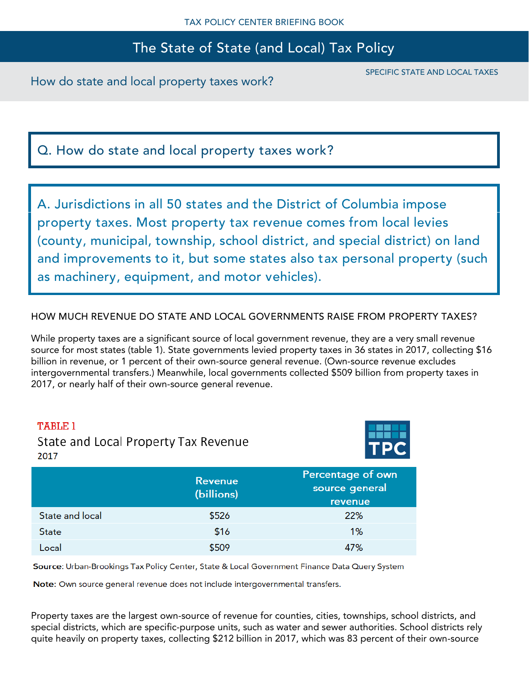How do state and local property taxes work?

SPECIFIC STATE AND LOCAL TAXES

Q. How do state and local property taxes work?

A. Jurisdictions in all 50 states and the District of Columbia impose property taxes. Most property tax revenue comes from local levies (county, municipal, township, school district, and special district) on land and improvements to it, but some states also tax personal property (such as machinery, equipment, and motor vehicles).

HOW MUCH REVENUE DO STATE AND LOCAL GOVERNMENTS RAISE FROM PROPERTY TAXES?

While property taxes are a significant source of local government revenue, they are a very small revenue source for most states (table 1). State governments levied property taxes in 36 states in 2017, collecting \$16 billion in revenue, or 1 percent of their own-source general revenue. (Own-source revenue excludes intergovernmental transfers.) Meanwhile, local governments collected \$509 billion from property taxes in 2017, or nearly half of their own-source general revenue.

### TABLE 1

State and Local Property Tax Revenue 2017



|                 | <b>Revenue</b><br>(billions) | Percentage of own<br>source general<br>revenue |
|-----------------|------------------------------|------------------------------------------------|
| State and local | \$526                        | 22%                                            |
| <b>State</b>    | \$16                         | 1%                                             |
| <b>local</b>    | \$509                        | 47%                                            |

Source: Urban-Brookings Tax Policy Center, State & Local Government Finance Data Query System

Note: Own source general revenue does not include intergovernmental transfers.

Property taxes are the largest own-source of revenue for counties, cities, townships, school districts, and special districts, which are specific-purpose units, such as water and sewer authorities. School districts rely quite heavily on property taxes, collecting \$212 billion in 2017, which was 83 percent of their own-source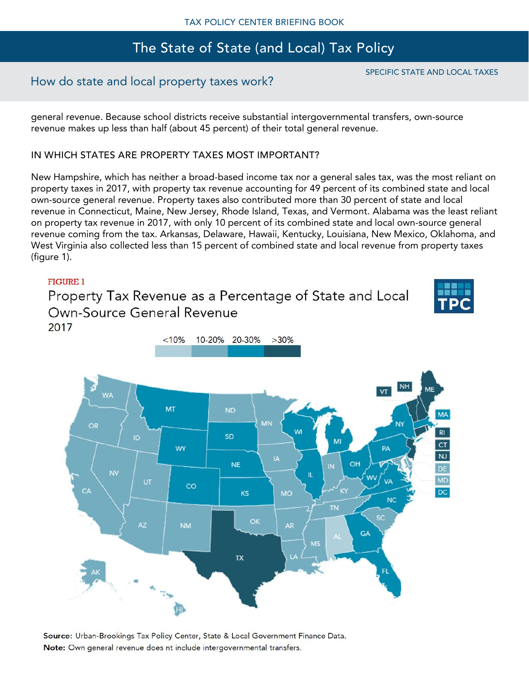## How do state and local property taxes work?

general revenue. Because school districts receive substantial intergovernmental transfers, own-source revenue makes up less than half (about 45 percent) of their total general revenue.

### IN WHICH STATES ARE PROPERTY TAXES MOST IMPORTANT?

New Hampshire, which has neither a broad-based income tax nor a general sales tax, was the most reliant on property taxes in 2017, with property tax revenue accounting for 49 percent of its combined state and local own-source general revenue. Property taxes also contributed more than 30 percent of state and local revenue in Connecticut, Maine, New Jersey, Rhode Island, Texas, and Vermont. Alabama was the least reliant on property tax revenue in 2017, with only 10 percent of its combined state and local own-source general revenue coming from the tax. Arkansas, Delaware, Hawaii, Kentucky, Louisiana, New Mexico, Oklahoma, and West Virginia also collected less than 15 percent of combined state and local revenue from property taxes (figure 1).

### **FIGURE 1**

Property Tax Revenue as a Percentage of State and Local Own-Source General Revenue 2017





Source: Urban-Brookings Tax Policy Center, State & Local Government Finance Data. Note: Own general revenue does nt include intergovernmental transfers.

## SPECIFIC STATE AND LOCAL TAXES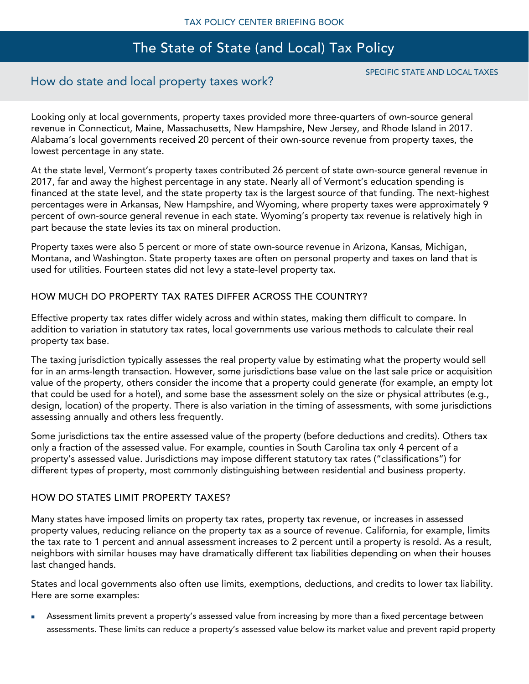## How do state and local property taxes work?

SPECIFIC STATE AND LOCAL TAXES

Looking only at local governments, property taxes provided more three-quarters of own-source general revenue in Connecticut, Maine, Massachusetts, New Hampshire, New Jersey, and Rhode Island in 2017. Alabama's local governments received 20 percent of their own-source revenue from property taxes, the lowest percentage in any state.

At the state level, Vermont's property taxes contributed 26 percent of state own-source general revenue in 2017, far and away the highest percentage in any state. Nearly all of Vermont's education spending is financed at the state level, and the state property tax is the largest source of that funding. The next-highest percentages were in Arkansas, New Hampshire, and Wyoming, where property taxes were approximately 9 percent of own-source general revenue in each state. Wyoming's property tax revenue is relatively high in part because the state levies its tax on mineral production.

Property taxes were also 5 percent or more of state own-source revenue in Arizona, Kansas, Michigan, Montana, and Washington. State property taxes are often on personal property and taxes on land that is used for utilities. Fourteen states did not levy a state-level property tax.

### HOW MUCH DO PROPERTY TAX RATES DIFFER ACROSS THE COUNTRY?

Effective property tax rates differ widely across and within states, making them difficult to compare. In addition to variation in statutory tax rates, local governments use various methods to calculate their real property tax base.

The taxing jurisdiction typically assesses the real property value by estimating what the property would sell for in an arms-length transaction. However, some jurisdictions base value on the last sale price or acquisition value of the property, others consider the income that a property could generate (for example, an empty lot that could be used for a hotel), and some base the assessment solely on the size or physical attributes (e.g., design, location) of the property. There is also variation in the timing of assessments, with some jurisdictions assessing annually and others less frequently.

Some jurisdictions tax the entire assessed value of the property (before deductions and credits). Others tax only a fraction of the assessed value. For example, counties in South Carolina tax only 4 percent of a property's assessed value. Jurisdictions may impose different statutory tax rates ("classifications") for different types of property, most commonly distinguishing between residential and business property.

### HOW DO STATES LIMIT PROPERTY TAXES?

Many states have imposed limits on property tax rates, property tax revenue, or increases in assessed property values, reducing reliance on the property tax as a source of revenue. California, for example, limits the tax rate to 1 percent and annual assessment increases to 2 percent until a property is resold. As a result, neighbors with similar houses may have dramatically different tax liabilities depending on when their houses last changed hands.

States and local governments also often use limits, exemptions, deductions, and credits to lower tax liability. Here are some examples:

Assessment limits prevent a property's assessed value from increasing by more than a fixed percentage between assessments. These limits can reduce a property's assessed value below its market value and prevent rapid property